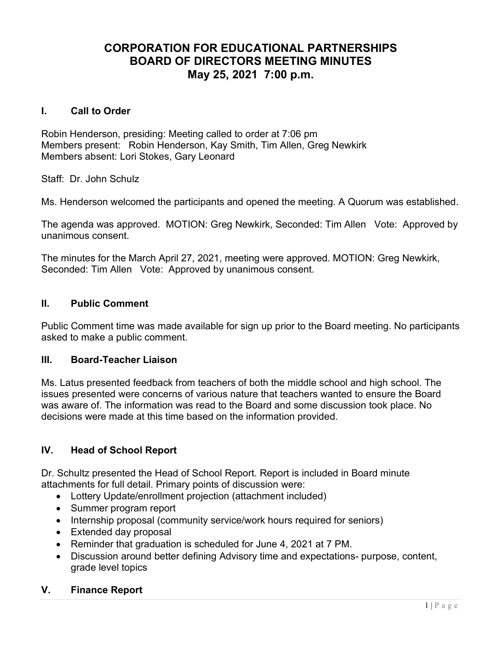# CORPORATION FOR EDUCATIONAL PARTNERSHIPS BOARD OF DIRECTORS MEETING MINUTES May 25, 2021 7:00 p.m.

#### I. Call to Order

Robin Henderson, presiding: Meeting called to order at 7:06 pm Members present: Robin Henderson, Kay Smith, Tim Allen, Greg Newkirk Members absent: Lori Stokes, Gary Leonard

Staff: Dr. John Schulz

Ms. Henderson welcomed the participants and opened the meeting. A Quorum was established.

The agenda was approved. MOTION: Greg Newkirk, Seconded: Tim Allen Vote: Approved by unanimous consent.

The minutes for the March April 27, 2021, meeting were approved. MOTION: Greg Newkirk, Seconded: Tim Allen Vote: Approved by unanimous consent.

### II. Public Comment

Public Comment time was made available for sign up prior to the Board meeting. No participants asked to make a public comment.

#### III. Board-Teacher Liaison

Ms. Latus presented feedback from teachers of both the middle school and high school. The issues presented were concerns of various nature that teachers wanted to ensure the Board was aware of. The information was read to the Board and some discussion took place. No decisions were made at this time based on the information provided.

### IV. Head of School Report

Dr. Schultz presented the Head of School Report. Report is included in Board minute attachments for full detail. Primary points of discussion were:

- Lottery Update/enrollment projection (attachment included)
- Summer program report
- Internship proposal (community service/work hours required for seniors)
- Extended day proposal
- Reminder that graduation is scheduled for June 4, 2021 at 7 PM.
- Discussion around better defining Advisory time and expectations- purpose, content, grade level topics

#### V. Finance Report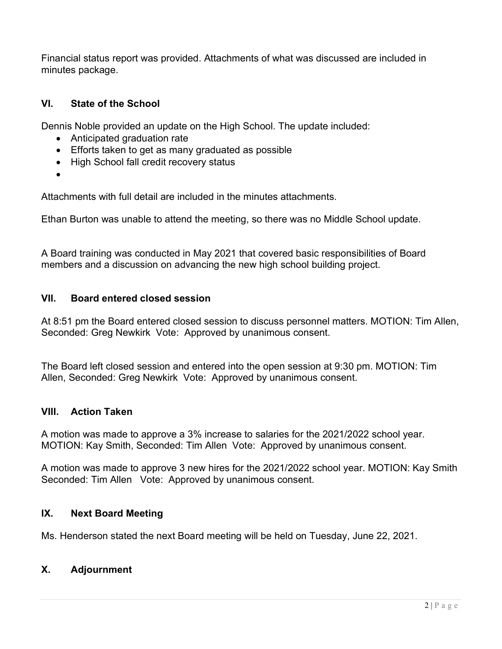Financial status report was provided. Attachments of what was discussed are included in minutes package.

## VI. State of the School

Dennis Noble provided an update on the High School. The update included:

- Anticipated graduation rate
- Efforts taken to get as many graduated as possible
- High School fall credit recovery status
- $\bullet$

Attachments with full detail are included in the minutes attachments.

Ethan Burton was unable to attend the meeting, so there was no Middle School update.

A Board training was conducted in May 2021 that covered basic responsibilities of Board members and a discussion on advancing the new high school building project.

### VII. Board entered closed session

At 8:51 pm the Board entered closed session to discuss personnel matters. MOTION: Tim Allen, Seconded: Greg Newkirk Vote: Approved by unanimous consent.

The Board left closed session and entered into the open session at 9:30 pm. MOTION: Tim Allen, Seconded: Greg Newkirk Vote: Approved by unanimous consent.

## VIII. Action Taken

A motion was made to approve a 3% increase to salaries for the 2021/2022 school year. MOTION: Kay Smith, Seconded: Tim Allen Vote: Approved by unanimous consent.

A motion was made to approve 3 new hires for the 2021/2022 school year. MOTION: Kay Smith Seconded: Tim Allen Vote: Approved by unanimous consent.

## IX. Next Board Meeting

Ms. Henderson stated the next Board meeting will be held on Tuesday, June 22, 2021.

## X. Adjournment